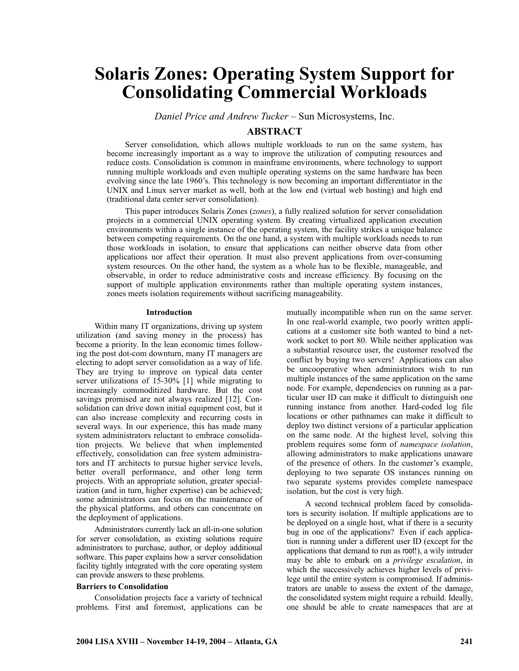# **Solaris Zones: Operating System Support for Consolidating Commercial Workloads**

*Daniel Price and Andrew Tucker* – Sun Microsystems, Inc.

# **ABSTRACT**

Server consolidation, which allows multiple workloads to run on the same system, has become increasingly important as a way to improve the utilization of computing resources and reduce costs. Consolidation is common in mainframe environments, where technology to support running multiple workloads and even multiple operating systems on the same hardware has been evolving since the late 1960's. This technology is now becoming an important differentiator in the UNIX and Linux server market as well, both at the low end (virtual web hosting) and high end (traditional data center server consolidation).

This paper introduces Solaris Zones (*zones*), a fully realized solution for server consolidation projects in a commercial UNIX operating system. By creating virtualized application execution environments within a single instance of the operating system, the facility strikes a unique balance between competing requirements. On the one hand, a system with multiple workloads needs to run those workloads in isolation, to ensure that applications can neither observe data from other applications nor affect their operation. It must also prevent applications from over-consuming system resources. On the other hand, the system as a whole has to be flexible, manageable, and observable, in order to reduce administrative costs and increase efficiency. By focusing on the support of multiple application environments rather than multiple operating system instances, zones meets isolation requirements without sacrificing manageability.

# **Introduction**

Within many IT organizations, driving up system utilization (and saving money in the process) has become a priority. In the lean economic times following the post dot-com downturn, many IT managers are electing to adopt server consolidation as a way of life. They are trying to improve on typical data center server utilizations of 15-30% [1] while migrating to increasingly commoditized hardware. But the cost savings promised are not always realized [12]. Consolidation can drive down initial equipment cost, but it can also increase complexity and recurring costs in several ways. In our experience, this has made many system administrators reluctant to embrace consolidation projects. We believe that when implemented effectively, consolidation can free system administrators and IT architects to pursue higher service levels, better overall performance, and other long term projects. With an appropriate solution, greater specialization (and in turn, higher expertise) can be achieved; some administrators can focus on the maintenance of the physical platforms, and others can concentrate on the deployment of applications.

Administrators currently lack an all-in-one solution for server consolidation, as existing solutions require administrators to purchase, author, or deploy additional software. This paper explains how a server consolidation facility tightly integrated with the core operating system can provide answers to these problems.

# **Barriers to Consolidation**

Consolidation projects face a variety of technical problems. First and foremost, applications can be

mutually incompatible when run on the same server. In one real-world example, two poorly written applications at a customer site both wanted to bind a network socket to port 80. While neither application was a substantial resource user, the customer resolved the conflict by buying two servers! Applications can also be uncooperative when administrators wish to run multiple instances of the same application on the same node. For example, dependencies on running as a particular user ID can make it difficult to distinguish one running instance from another. Hard-coded log file locations or other pathnames can make it difficult to deploy two distinct versions of a particular application on the same node. At the highest level, solving this problem requires some form of *namespace isolation*, allowing administrators to make applications unaware of the presence of others. In the customer's example, deploying to two separate OS instances running on two separate systems provides complete namespace isolation, but the cost is very high.

A second technical problem faced by consolidators is security isolation. If multiple applications are to be deployed on a single host, what if there is a security bug in one of the applications? Even if each application is running under a different user ID (except for the applications that demand to run as root!), a wily intruder may be able to embark on a *privilege escalation*, in which the successively achieves higher levels of privilege until the entire system is compromised. If administrators are unable to assess the extent of the damage, the consolidated system might require a rebuild. Ideally, one should be able to create namespaces that are at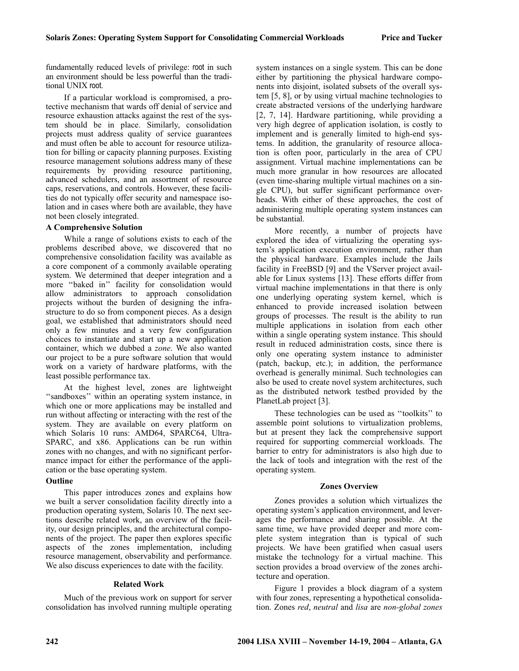fundamentally reduced levels of privilege: root in such an environment should be less powerful than the traditional UNIX root.

If a particular workload is compromised, a protective mechanism that wards off denial of service and resource exhaustion attacks against the rest of the system should be in place. Similarly, consolidation projects must address quality of service guarantees and must often be able to account for resource utilization for billing or capacity planning purposes. Existing resource management solutions address many of these requirements by providing resource partitioning, advanced schedulers, and an assortment of resource caps, reservations, and controls. However, these facilities do not typically offer security and namespace isolation and in cases where both are available, they have not been closely integrated.

# **A Comprehensive Solution**

While a range of solutions exists to each of the problems described above, we discovered that no comprehensive consolidation facility was available as a core component of a commonly available operating system. We determined that deeper integration and a more "baked in" facility for consolidation would allow administrators to approach consolidation projects without the burden of designing the infrastructure to do so from component pieces. As a design goal, we established that administrators should need only a few minutes and a very few configuration choices to instantiate and start up a new application container, which we dubbed a *zone*. We also wanted our project to be a pure software solution that would work on a variety of hardware platforms, with the least possible performance tax.

At the highest level, zones are lightweight ''sandboxes'' within an operating system instance, in which one or more applications may be installed and run without affecting or interacting with the rest of the system. They are available on every platform on which Solaris 10 runs: AMD64, SPARC64, Ultra-SPARC, and x86. Applications can be run within zones with no changes, and with no significant performance impact for either the performance of the application or the base operating system.

#### **Outline**

This paper introduces zones and explains how we built a server consolidation facility directly into a production operating system, Solaris 10. The next sections describe related work, an overview of the facility, our design principles, and the architectural components of the project. The paper then explores specific aspects of the zones implementation, including resource management, observability and performance. We also discuss experiences to date with the facility.

#### **Related Work**

Much of the previous work on support for server consolidation has involved running multiple operating system instances on a single system. This can be done either by partitioning the physical hardware components into disjoint, isolated subsets of the overall system [5, 8], or by using virtual machine technologies to create abstracted versions of the underlying hardware [2, 7, 14]. Hardware partitioning, while providing a very high degree of application isolation, is costly to implement and is generally limited to high-end systems. In addition, the granularity of resource allocation is often poor, particularly in the area of CPU assignment. Virtual machine implementations can be much more granular in how resources are allocated (even time-sharing multiple virtual machines on a single CPU), but suffer significant performance overheads. With either of these approaches, the cost of administering multiple operating system instances can be substantial.

More recently, a number of projects have explored the idea of virtualizing the operating system's application execution environment, rather than the physical hardware. Examples include the Jails facility in FreeBSD [9] and the VServer project available for Linux systems [13]. These efforts differ from virtual machine implementations in that there is only one underlying operating system kernel, which is enhanced to provide increased isolation between groups of processes. The result is the ability to run multiple applications in isolation from each other within a single operating system instance. This should result in reduced administration costs, since there is only one operating system instance to administer (patch, backup, etc.); in addition, the performance overhead is generally minimal. Such technologies can also be used to create novel system architectures, such as the distributed network testbed provided by the PlanetLab project [3].

These technologies can be used as ''toolkits'' to assemble point solutions to virtualization problems, but at present they lack the comprehensive support required for supporting commercial workloads. The barrier to entry for administrators is also high due to the lack of tools and integration with the rest of the operating system.

#### **Zones Overview**

Zones provides a solution which virtualizes the operating system's application environment, and leverages the performance and sharing possible. At the same time, we have provided deeper and more complete system integration than is typical of such projects. We have been gratified when casual users mistake the technology for a virtual machine. This section provides a broad overview of the zones architecture and operation.

Figure 1 provides a block diagram of a system with four zones, representing a hypothetical consolidation. Zones *red*, *neutral* and *lisa* are *non-global zones*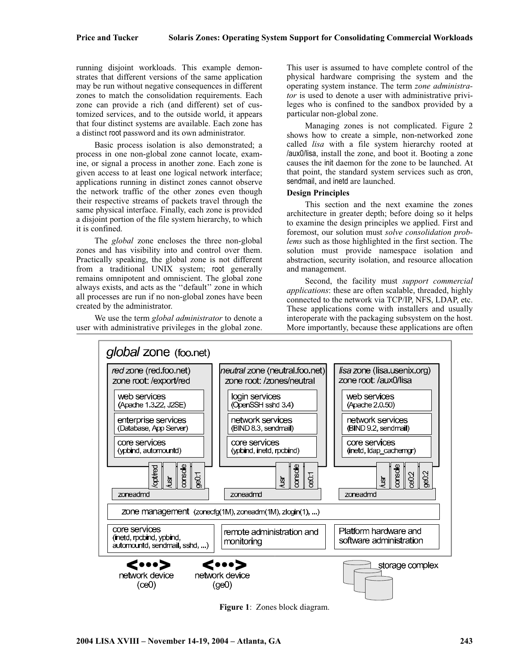running disjoint workloads. This example demonstrates that different versions of the same application may be run without negative consequences in different zones to match the consolidation requirements. Each zone can provide a rich (and different) set of customized services, and to the outside world, it appears that four distinct systems are available. Each zone has a distinct root password and its own administrator.

Basic process isolation is also demonstrated; a process in one non-global zone cannot locate, examine, or signal a process in another zone. Each zone is given access to at least one logical network interface; applications running in distinct zones cannot observe the network traffic of the other zones even though their respective streams of packets travel through the same physical interface. Finally, each zone is provided a disjoint portion of the file system hierarchy, to which it is confined.

The *global* zone encloses the three non-global zones and has visibility into and control over them. Practically speaking, the global zone is not different from a traditional UNIX system; root generally remains omnipotent and omniscient. The global zone always exists, and acts as the ''default'' zone in which all processes are run if no non-global zones have been created by the administrator.

We use the term *global administrator* to denote a user with administrative privileges in the global zone.

This user is assumed to have complete control of the physical hardware comprising the system and the operating system instance. The term *zone administrator* is used to denote a user with administrative privileges who is confined to the sandbox provided by a particular non-global zone.

Managing zones is not complicated. Figure 2 shows how to create a simple, non-networked zone called *lisa* with a file system hierarchy rooted at /aux0/lisa, install the zone, and boot it. Booting a zone causes the init daemon for the zone to be launched. At that point, the standard system services such as cron, sendmail, and inetd are launched.

# **Design Principles**

This section and the next examine the zones architecture in greater depth; before doing so it helps to examine the design principles we applied. First and foremost, our solution must *solve consolidation problems* such as those highlighted in the first section. The solution must provide namespace isolation and abstraction, security isolation, and resource allocation and management.

Second, the facility must *support commercial applications*: these are often scalable, threaded, highly connected to the network via TCP/IP, NFS, LDAP, etc. These applications come with installers and usually interoperate with the packaging subsystem on the host. More importantly, because these applications are often



**Figure 1**: Zones block diagram.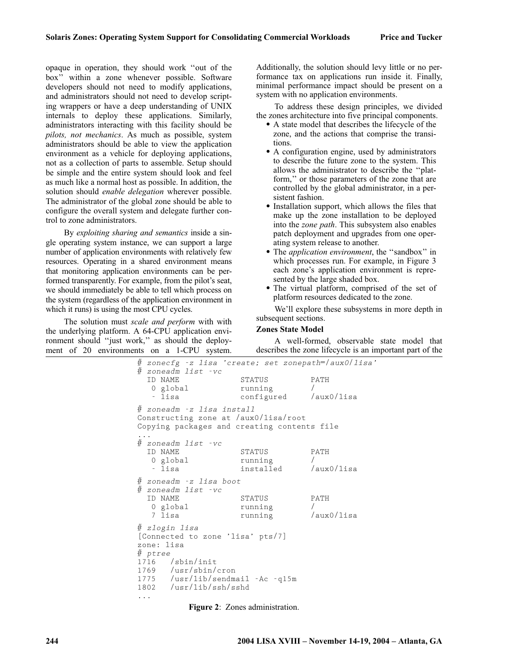opaque in operation, they should work ''out of the box'' within a zone whenever possible. Software developers should not need to modify applications, and administrators should not need to develop scripting wrappers or have a deep understanding of UNIX internals to deploy these applications. Similarly, administrators interacting with this facility should be *pilots, not mechanics*. As much as possible, system administrators should be able to view the application environment as a vehicle for deploying applications, not as a collection of parts to assemble. Setup should be simple and the entire system should look and feel as much like a normal host as possible. In addition, the solution should *enable delegation* wherever possible. The administrator of the global zone should be able to configure the overall system and delegate further control to zone administrators.

By *exploiting sharing and semantics* inside a single operating system instance, we can support a large number of application environments with relatively few resources. Operating in a shared environment means that monitoring application environments can be performed transparently. For example, from the pilot's seat, we should immediately be able to tell which process on the system (regardless of the application environment in which it runs) is using the most CPU cycles.

The solution must *scale and perform* with with the underlying platform. A 64-CPU application environment should ''just work,'' as should the deployment of 20 environments on a 1-CPU system.

Additionally, the solution should levy little or no performance tax on applications run inside it. Finally, minimal performance impact should be present on a system with no application environments.

To address these design principles, we divided the zones architecture into five principal components.

- A state model that describes the lifecycle of the zone, and the actions that comprise the transitions.
- A configuration engine, used by administrators to describe the future zone to the system. This allows the administrator to describe the ''platform,'' or those parameters of the zone that are controlled by the global administrator, in a persistent fashion.
- Installation support, which allows the files that make up the zone installation to be deployed into the *zone path*. This subsystem also enables patch deployment and upgrades from one operating system release to another.
- The *application environment*, the ''sandbox'' in which processes run. For example, in Figure 3 each zone's application environment is represented by the large shaded box.
- The virtual platform, comprised of the set of platform resources dedicated to the zone.

We'll explore these subsystems in more depth in subsequent sections.

# **Zones State Model**

A well-formed, observable state model that describes the zone lifecycle is an important part of the

```
# zonecfg -z lisa 'create; set zonepath=/aux0/lisa'
# zoneadm list -vc
 ID NAME STATUS PATH
  0 global running /
  - lisa configured
# zoneadm -z lisa install
Constructing zone at /aux0/lisa/root
Copying packages and creating contents file
...
# zoneadm list -vc
 ID NAME STATUS PATH
  0 global running
  - lisa installed /aux0/lisa
# zoneadm -z lisa boot
# zoneadm list -vc
 ID NAME STATUS PATH<br>
0 global running /
                running /
  7 lisa running /aux0/lisa
# zlogin lisa
[Connected to zone 'lisa' pts/7]
zone: lisa
# ptree
     /sbin/init
1769 /usr/sbin/cron
1775 /usr/lib/sendmail -Ac -q15m
1802 /usr/lib/ssh/sshd
...
```
**Figure 2**: Zones administration.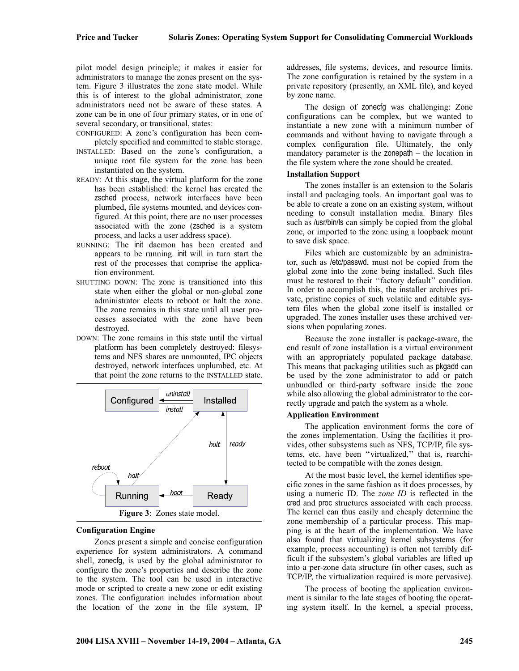pilot model design principle; it makes it easier for administrators to manage the zones present on the system. Figure 3 illustrates the zone state model. While this is of interest to the global administrator, zone administrators need not be aware of these states. A zone can be in one of four primary states, or in one of several secondary, or transitional, states:

- CONFIGURED: A zone's configuration has been completely specified and committed to stable storage.
- INSTALLED: Based on the zone's configuration, a unique root file system for the zone has been instantiated on the system.
- READY: At this stage, the virtual platform for the zone has been established: the kernel has created the zsched process, network interfaces have been plumbed, file systems mounted, and devices configured. At this point, there are no user processes associated with the zone (zsched is a system process, and lacks a user address space).
- RUNNING: The init daemon has been created and appears to be running. init will in turn start the rest of the processes that comprise the application environment.
- SHUTTING DOWN: The zone is transitioned into this state when either the global or non-global zone administrator elects to reboot or halt the zone. The zone remains in this state until all user processes associated with the zone have been destroyed.
- DOWN: The zone remains in this state until the virtual platform has been completely destroyed: filesystems and NFS shares are unmounted, IPC objects destroyed, network interfaces unplumbed, etc. At that point the zone returns to the INSTALLED state.



# **Configuration Engine**

Zones present a simple and concise configuration experience for system administrators. A command shell, zonecfg, is used by the global administrator to configure the zone's properties and describe the zone to the system. The tool can be used in interactive mode or scripted to create a new zone or edit existing zones. The configuration includes information about the location of the zone in the file system, IP

addresses, file systems, devices, and resource limits. The zone configuration is retained by the system in a private repository (presently, an XML file), and keyed by zone name.

The design of zonecfg was challenging: Zone configurations can be complex, but we wanted to instantiate a new zone with a minimum number of commands and without having to navigate through a complex configuration file. Ultimately, the only mandatory parameter is the zonepath – the location in the file system where the zone should be created.

## **Installation Support**

The zones installer is an extension to the Solaris install and packaging tools. An important goal was to be able to create a zone on an existing system, without needing to consult installation media. Binary files such as /usr/bin/ls can simply be copied from the global zone, or imported to the zone using a loopback mount to save disk space.

Files which are customizable by an administrator, such as /etc/passwd, must not be copied from the global zone into the zone being installed. Such files must be restored to their ''factory default'' condition. In order to accomplish this, the installer archives private, pristine copies of such volatile and editable system files when the global zone itself is installed or upgraded. The zones installer uses these archived versions when populating zones.

Because the zone installer is package-aware, the end result of zone installation is a virtual environment with an appropriately populated package database. This means that packaging utilities such as pkgadd can be used by the zone administrator to add or patch unbundled or third-party software inside the zone while also allowing the global administrator to the correctly upgrade and patch the system as a whole.

#### **Application Environment**

The application environment forms the core of the zones implementation. Using the facilities it provides, other subsystems such as NFS, TCP/IP, file systems, etc. have been ''virtualized,'' that is, rearchitected to be compatible with the zones design.

At the most basic level, the kernel identifies specific zones in the same fashion as it does processes, by using a numeric ID. The *zone ID* is reflected in the cred and proc structures associated with each process. The kernel can thus easily and cheaply determine the zone membership of a particular process. This mapping is at the heart of the implementation. We have also found that virtualizing kernel subsystems (for example, process accounting) is often not terribly difficult if the subsystem's global variables are lifted up into a per-zone data structure (in other cases, such as TCP/IP, the virtualization required is more pervasive).

The process of booting the application environment is similar to the late stages of booting the operating system itself. In the kernel, a special process,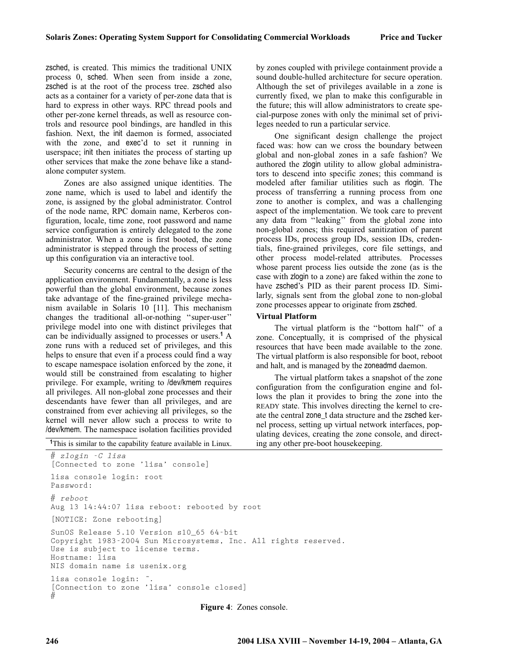zsched, is created. This mimics the traditional UNIX process 0, sched. When seen from inside a zone, zsched is at the root of the process tree. zsched also acts as a container for a variety of per-zone data that is hard to express in other ways. RPC thread pools and other per-zone kernel threads, as well as resource controls and resource pool bindings, are handled in this fashion. Next, the init daemon is formed, associated with the zone, and exec'd to set it running in userspace; init then initiates the process of starting up other services that make the zone behave like a standalone computer system.

Zones are also assigned unique identities. The zone name, which is used to label and identify the zone, is assigned by the global administrator. Control of the node name, RPC domain name, Kerberos configuration, locale, time zone, root password and name service configuration is entirely delegated to the zone administrator. When a zone is first booted, the zone administrator is stepped through the process of setting up this configuration via an interactive tool.

Security concerns are central to the design of the application environment. Fundamentally, a zone is less powerful than the global environment, because zones take advantage of the fine-grained privilege mechanism available in Solaris 10 [11]. This mechanism changes the traditional all-or-nothing ''super-user '' privilege model into one with distinct privileges that can be individually assigned to processes or users.**<sup>1</sup>** A zone runs with a reduced set of privileges, and this helps to ensure that even if a process could find a way to escape namespace isolation enforced by the zone, it would still be constrained from escalating to higher privilege. For example, writing to /dev/kmem requires all privileges. All non-global zone processes and their descendants have fewer than all privileges, and are constrained from ever achieving all privileges, so the kernel will never allow such a process to write to /dev/kmem. The namespace isolation facilities provided

**<sup>1</sup>**This is similar to the capability feature available in Linux.

by zones coupled with privilege containment provide a sound double-hulled architecture for secure operation. Although the set of privileges available in a zone is currently fixed, we plan to make this configurable in the future; this will allow administrators to create special-purpose zones with only the minimal set of privileges needed to run a particular service.

One significant design challenge the project faced was: how can we cross the boundary between global and non-global zones in a safe fashion? We authored the zlogin utility to allow global administrators to descend into specific zones; this command is modeled after familiar utilities such as rlogin. The process of transferring a running process from one zone to another is complex, and was a challenging aspect of the implementation. We took care to prevent any data from "leaking" from the global zone into non-global zones; this required sanitization of parent process IDs, process group IDs, session IDs, credentials, fine-grained privileges, core file settings, and other process model-related attributes. Processes whose parent process lies outside the zone (as is the case with zlogin to a zone) are faked within the zone to have zsched's PID as their parent process ID. Similarly, signals sent from the global zone to non-global zone processes appear to originate from zsched.

# **Virtual Platform**

The virtual platform is the ''bottom half'' of a zone. Conceptually, it is comprised of the physical resources that have been made available to the zone. The virtual platform is also responsible for boot, reboot and halt, and is managed by the zoneadmd daemon.

The virtual platform takes a snapshot of the zone configuration from the configuration engine and follows the plan it provides to bring the zone into the READY state. This involves directing the kernel to create the central zone t data structure and the zsched kernel process, setting up virtual network interfaces, populating devices, creating the zone console, and directing any other pre-boot housekeeping.

```
# zlogin -C lisa
[Connected to zone 'lisa' console]
lisa console login: root
Password:
# reboot
Aug 13 14:44:07 lisa reboot: rebooted by root
[NOTICE: Zone rebooting]
SunOS Release 5.10 Version s10_65 64-bit
Copyright 1983-2004 Sun Microsystems, Inc. All rights reserved.
Use is subject to license terms.
Hostname: lisa
NIS domain name is usenix.org
lisa console login: ˜.
[Connection to zone 'lisa' console closed]
#
```
**Figure 4**: Zones console.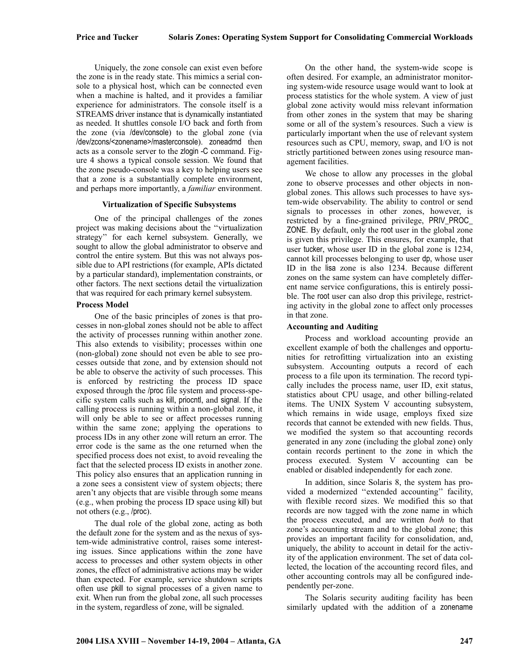Uniquely, the zone console can exist even before the zone is in the ready state. This mimics a serial console to a physical host, which can be connected even when a machine is halted, and it provides a familiar experience for administrators. The console itself is a STREAMS driver instance that is dynamically instantiated as needed. It shuttles console I/O back and forth from the zone (via /dev/console) to the global zone (via /dev/zcons/<zonename>/masterconsole). zoneadmd then acts as a console server to the zlogin -C command. Figure 4 shows a typical console session. We found that the zone pseudo-console was a key to helping users see that a zone is a substantially complete environment, and perhaps more importantly, a *familiar* environment.

# **Virtualization of Specific Subsystems**

One of the principal challenges of the zones project was making decisions about the ''virtualization strategy'' for each kernel subsystem. Generally, we sought to allow the global administrator to observe and control the entire system. But this was not always possible due to API restrictions (for example, APIs dictated by a particular standard), implementation constraints, or other factors. The next sections detail the virtualization that was required for each primary kernel subsystem.

# **Process Model**

One of the basic principles of zones is that processes in non-global zones should not be able to affect the activity of processes running within another zone. This also extends to visibility; processes within one (non-global) zone should not even be able to see processes outside that zone, and by extension should not be able to observe the activity of such processes. This is enforced by restricting the process ID space exposed through the /proc file system and process-specific system calls such as kill, priocntl, and signal. If the calling process is running within a non-global zone, it will only be able to see or affect processes running within the same zone; applying the operations to process IDs in any other zone will return an error. The error code is the same as the one returned when the specified process does not exist, to avoid revealing the fact that the selected process ID exists in another zone. This policy also ensures that an application running in a zone sees a consistent view of system objects; there aren't any objects that are visible through some means (e.g., when probing the process ID space using kill) but not others (e.g., /proc).

The dual role of the global zone, acting as both the default zone for the system and as the nexus of system-wide administrative control, raises some interesting issues. Since applications within the zone have access to processes and other system objects in other zones, the effect of administrative actions may be wider than expected. For example, service shutdown scripts often use pkill to signal processes of a given name to exit. When run from the global zone, all such processes in the system, regardless of zone, will be signaled.

On the other hand, the system-wide scope is often desired. For example, an administrator monitoring system-wide resource usage would want to look at process statistics for the whole system. A view of just global zone activity would miss relevant information from other zones in the system that may be sharing some or all of the system's resources. Such a view is particularly important when the use of relevant system resources such as CPU, memory, swap, and I/O is not strictly partitioned between zones using resource management facilities.

We chose to allow any processes in the global zone to observe processes and other objects in nonglobal zones. This allows such processes to have system-wide observability. The ability to control or send signals to processes in other zones, however, is restricted by a fine-grained privilege, PRIV\_PROC\_ ZONE. By default, only the root user in the global zone is given this privilege. This ensures, for example, that user tucker, whose user ID in the global zone is 1234, cannot kill processes belonging to user dp, whose user ID in the lisa zone is also 1234. Because different zones on the same system can have completely different name service configurations, this is entirely possible. The root user can also drop this privilege, restricting activity in the global zone to affect only processes in that zone.

# **Accounting and Auditing**

Process and workload accounting provide an excellent example of both the challenges and opportunities for retrofitting virtualization into an existing subsystem. Accounting outputs a record of each process to a file upon its termination. The record typically includes the process name, user ID, exit status, statistics about CPU usage, and other billing-related items. The UNIX System V accounting subsystem, which remains in wide usage, employs fixed size records that cannot be extended with new fields. Thus, we modified the system so that accounting records generated in any zone (including the global zone) only contain records pertinent to the zone in which the process executed. System V accounting can be enabled or disabled independently for each zone.

In addition, since Solaris 8, the system has provided a modernized ''extended accounting'' facility, with flexible record sizes. We modified this so that records are now tagged with the zone name in which the process executed, and are written *both* to that zone's accounting stream and to the global zone; this provides an important facility for consolidation, and, uniquely, the ability to account in detail for the activity of the application environment. The set of data collected, the location of the accounting record files, and other accounting controls may all be configured independently per-zone.

The Solaris security auditing facility has been similarly updated with the addition of a zonename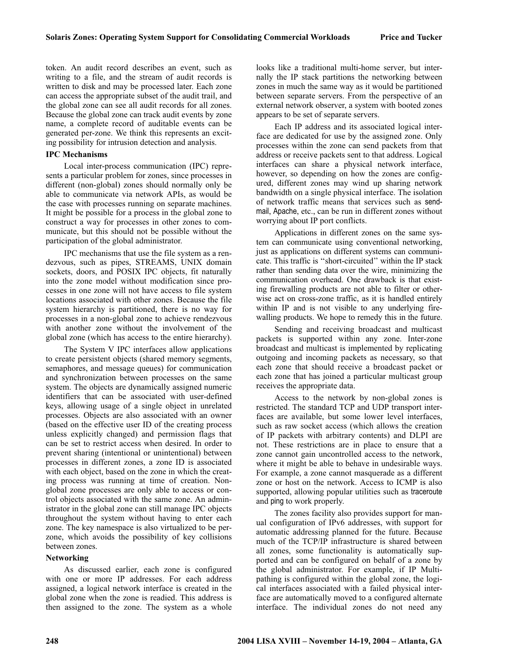token. An audit record describes an event, such as writing to a file, and the stream of audit records is written to disk and may be processed later. Each zone can access the appropriate subset of the audit trail, and the global zone can see all audit records for all zones. Because the global zone can track audit events by zone name, a complete record of auditable events can be generated per-zone. We think this represents an exciting possibility for intrusion detection and analysis.

# **IPC Mechanisms**

Local inter-process communication (IPC) represents a particular problem for zones, since processes in different (non-global) zones should normally only be able to communicate via network APIs, as would be the case with processes running on separate machines. It might be possible for a process in the global zone to construct a way for processes in other zones to communicate, but this should not be possible without the participation of the global administrator.

IPC mechanisms that use the file system as a rendezvous, such as pipes, STREAMS, UNIX domain sockets, doors, and POSIX IPC objects, fit naturally into the zone model without modification since processes in one zone will not have access to file system locations associated with other zones. Because the file system hierarchy is partitioned, there is no way for processes in a non-global zone to achieve rendezvous with another zone without the involvement of the global zone (which has access to the entire hierarchy).

The System V IPC interfaces allow applications to create persistent objects (shared memory segments, semaphores, and message queues) for communication and synchronization between processes on the same system. The objects are dynamically assigned numeric identifiers that can be associated with user-defined keys, allowing usage of a single object in unrelated processes. Objects are also associated with an owner (based on the effective user ID of the creating process unless explicitly changed) and permission flags that can be set to restrict access when desired. In order to prevent sharing (intentional or unintentional) between processes in different zones, a zone ID is associated with each object, based on the zone in which the creating process was running at time of creation. Nonglobal zone processes are only able to access or control objects associated with the same zone. An administrator in the global zone can still manage IPC objects throughout the system without having to enter each zone. The key namespace is also virtualized to be perzone, which avoids the possibility of key collisions between zones.

# **Networking**

As discussed earlier, each zone is configured with one or more IP addresses. For each address assigned, a logical network interface is created in the global zone when the zone is readied. This address is then assigned to the zone. The system as a whole looks like a traditional multi-home server, but internally the IP stack partitions the networking between zones in much the same way as it would be partitioned between separate servers. From the perspective of an external network observer, a system with booted zones appears to be set of separate servers.

Each IP address and its associated logical interface are dedicated for use by the assigned zone. Only processes within the zone can send packets from that address or receive packets sent to that address. Logical interfaces can share a physical network interface, however, so depending on how the zones are configured, different zones may wind up sharing network bandwidth on a single physical interface. The isolation of network traffic means that services such as sendmail, Apache, etc., can be run in different zones without worrying about IP port conflicts.

Applications in different zones on the same system can communicate using conventional networking, just as applications on different systems can communicate. This traffic is ''short-circuited'' within the IP stack rather than sending data over the wire, minimizing the communication overhead. One drawback is that existing firewalling products are not able to filter or otherwise act on cross-zone traffic, as it is handled entirely within IP and is not visible to any underlying firewalling products. We hope to remedy this in the future.

Sending and receiving broadcast and multicast packets is supported within any zone. Inter-zone broadcast and multicast is implemented by replicating outgoing and incoming packets as necessary, so that each zone that should receive a broadcast packet or each zone that has joined a particular multicast group receives the appropriate data.

Access to the network by non-global zones is restricted. The standard TCP and UDP transport interfaces are available, but some lower level interfaces, such as raw socket access (which allows the creation of IP packets with arbitrary contents) and DLPI are not. These restrictions are in place to ensure that a zone cannot gain uncontrolled access to the network, where it might be able to behave in undesirable ways. For example, a zone cannot masquerade as a different zone or host on the network. Access to ICMP is also supported, allowing popular utilities such as traceroute and ping to work properly.

The zones facility also provides support for manual configuration of IPv6 addresses, with support for automatic addressing planned for the future. Because much of the TCP/IP infrastructure is shared between all zones, some functionality is automatically supported and can be configured on behalf of a zone by the global administrator. For example, if IP Multipathing is configured within the global zone, the logical interfaces associated with a failed physical interface are automatically moved to a configured alternate interface. The individual zones do not need any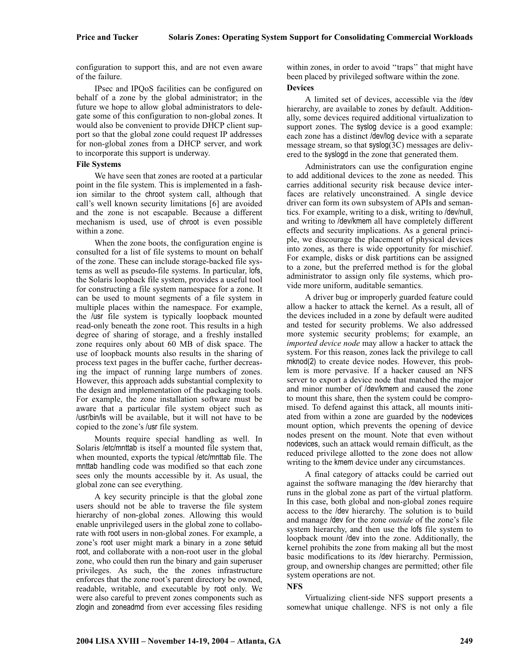configuration to support this, and are not even aware of the failure.

IPsec and IPQoS facilities can be configured on behalf of a zone by the global administrator; in the future we hope to allow global administrators to delegate some of this configuration to non-global zones. It would also be convenient to provide DHCP client support so that the global zone could request IP addresses for non-global zones from a DHCP server, and work to incorporate this support is underway.

#### **File Systems**

We have seen that zones are rooted at a particular point in the file system. This is implemented in a fashion similar to the chroot system call, although that call's well known security limitations [6] are avoided and the zone is not escapable. Because a different mechanism is used, use of chroot is even possible within a zone.

When the zone boots, the configuration engine is consulted for a list of file systems to mount on behalf of the zone. These can include storage-backed file systems as well as pseudo-file systems. In particular, lofs, the Solaris loopback file system, provides a useful tool for constructing a file system namespace for a zone. It can be used to mount segments of a file system in multiple places within the namespace. For example, the /usr file system is typically loopback mounted read-only beneath the zone root. This results in a high degree of sharing of storage, and a freshly installed zone requires only about 60 MB of disk space. The use of loopback mounts also results in the sharing of process text pages in the buffer cache, further decreasing the impact of running large numbers of zones. However, this approach adds substantial complexity to the design and implementation of the packaging tools. For example, the zone installation software must be aware that a particular file system object such as /usr/bin/ls will be available, but it will not have to be copied to the zone's /usr file system.

Mounts require special handling as well. In Solaris /etc/mnttab is itself a mounted file system that, when mounted, exports the typical /etc/mnttab file. The mnttab handling code was modified so that each zone sees only the mounts accessible by it. As usual, the global zone can see everything.

A key security principle is that the global zone users should not be able to traverse the file system hierarchy of non-global zones. Allowing this would enable unprivileged users in the global zone to collaborate with root users in non-global zones. For example, a zone's root user might mark a binary in a zone setuid root, and collaborate with a non-root user in the global zone, who could then run the binary and gain superuser privileges. As such, the the zones infrastructure enforces that the zone root's parent directory be owned, readable, writable, and executable by root only. We were also careful to prevent zones components such as zlogin and zoneadmd from ever accessing files residing within zones, in order to avoid "traps" that might have been placed by privileged software within the zone.

# **Devices**

A limited set of devices, accessible via the /dev hierarchy, are available to zones by default. Additionally, some devices required additional virtualization to support zones. The syslog device is a good example: each zone has a distinct /dev/log device with a separate message stream, so that syslog(3C) messages are delivered to the syslogd in the zone that generated them.

Administrators can use the configuration engine to add additional devices to the zone as needed. This carries additional security risk because device interfaces are relatively unconstrained. A single device driver can form its own subsystem of APIs and semantics. For example, writing to a disk, writing to /dev/null, and writing to /dev/kmem all have completely different effects and security implications. As a general principle, we discourage the placement of physical devices into zones, as there is wide opportunity for mischief. For example, disks or disk partitions can be assigned to a zone, but the preferred method is for the global administrator to assign only file systems, which provide more uniform, auditable semantics.

A driver bug or improperly guarded feature could allow a hacker to attack the kernel. As a result, all of the devices included in a zone by default were audited and tested for security problems. We also addressed more systemic security problems; for example, an *imported device node* may allow a hacker to attack the system. For this reason, zones lack the privilege to call mknod(2) to create device nodes. However, this problem is more pervasive. If a hacker caused an NFS server to export a device node that matched the major and minor number of /dev/kmem and caused the zone to mount this share, then the system could be compromised. To defend against this attack, all mounts initiated from within a zone are guarded by the nodevices mount option, which prevents the opening of device nodes present on the mount. Note that even without nodevices, such an attack would remain difficult, as the reduced privilege allotted to the zone does not allow writing to the kmem device under any circumstances.

A final category of attacks could be carried out against the software managing the /dev hierarchy that runs in the global zone as part of the virtual platform. In this case, both global and non-global zones require access to the /dev hierarchy. The solution is to build and manage /dev for the zone *outside* of the zone's file system hierarchy, and then use the lofs file system to loopback mount /dev into the zone. Additionally, the kernel prohibits the zone from making all but the most basic modifications to its /dev hierarchy. Permission, group, and ownership changes are permitted; other file system operations are not.

# **NFS**

Virtualizing client-side NFS support presents a somewhat unique challenge. NFS is not only a file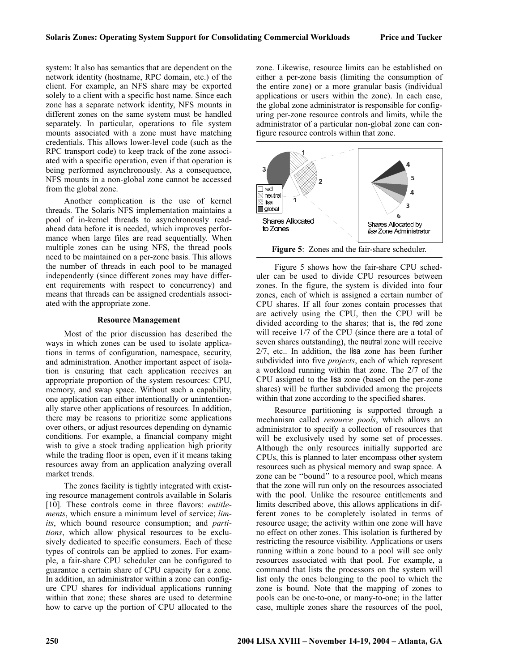system: It also has semantics that are dependent on the network identity (hostname, RPC domain, etc.) of the client. For example, an NFS share may be exported solely to a client with a specific host name. Since each zone has a separate network identity, NFS mounts in different zones on the same system must be handled separately. In particular, operations to file system mounts associated with a zone must have matching credentials. This allows lower-level code (such as the RPC transport code) to keep track of the zone associated with a specific operation, even if that operation is being performed asynchronously. As a consequence, NFS mounts in a non-global zone cannot be accessed from the global zone.

Another complication is the use of kernel threads. The Solaris NFS implementation maintains a pool of in-kernel threads to asynchronously readahead data before it is needed, which improves performance when large files are read sequentially. When multiple zones can be using NFS, the thread pools need to be maintained on a per-zone basis. This allows the number of threads in each pool to be managed independently (since different zones may have different requirements with respect to concurrency) and means that threads can be assigned credentials associated with the appropriate zone.

#### **Resource Management**

Most of the prior discussion has described the ways in which zones can be used to isolate applications in terms of configuration, namespace, security, and administration. Another important aspect of isolation is ensuring that each application receives an appropriate proportion of the system resources: CPU, memory, and swap space. Without such a capability, one application can either intentionally or unintentionally starve other applications of resources. In addition, there may be reasons to prioritize some applications over others, or adjust resources depending on dynamic conditions. For example, a financial company might wish to give a stock trading application high priority while the trading floor is open, even if it means taking resources away from an application analyzing overall market trends.

The zones facility is tightly integrated with existing resource management controls available in Solaris [10]. These controls come in three flavors: *entitlements*, which ensure a minimum level of service; *limits*, which bound resource consumption; and *partitions*, which allow physical resources to be exclusively dedicated to specific consumers. Each of these types of controls can be applied to zones. For example, a fair-share CPU scheduler can be configured to guarantee a certain share of CPU capacity for a zone. In addition, an administrator within a zone can configure CPU shares for individual applications running within that zone; these shares are used to determine how to carve up the portion of CPU allocated to the zone. Likewise, resource limits can be established on either a per-zone basis (limiting the consumption of the entire zone) or a more granular basis (individual applications or users within the zone). In each case, the global zone administrator is responsible for configuring per-zone resource controls and limits, while the administrator of a particular non-global zone can configure resource controls within that zone.



Figure 5 shows how the fair-share CPU scheduler can be used to divide CPU resources between zones. In the figure, the system is divided into four zones, each of which is assigned a certain number of CPU shares. If all four zones contain processes that are actively using the CPU, then the CPU will be divided according to the shares; that is, the red zone will receive  $1/7$  of the CPU (since there are a total of seven shares outstanding), the neutral zone will receive 2/7, etc.. In addition, the lisa zone has been further subdivided into five *projects*, each of which represent a workload running within that zone. The 2/7 of the CPU assigned to the lisa zone (based on the per-zone shares) will be further subdivided among the projects within that zone according to the specified shares.

Resource partitioning is supported through a mechanism called *resource pools*, which allows an administrator to specify a collection of resources that will be exclusively used by some set of processes. Although the only resources initially supported are CPUs, this is planned to later encompass other system resources such as physical memory and swap space. A zone can be ''bound'' to a resource pool, which means that the zone will run only on the resources associated with the pool. Unlike the resource entitlements and limits described above, this allows applications in different zones to be completely isolated in terms of resource usage; the activity within one zone will have no effect on other zones. This isolation is furthered by restricting the resource visibility. Applications or users running within a zone bound to a pool will see only resources associated with that pool. For example, a command that lists the processors on the system will list only the ones belonging to the pool to which the zone is bound. Note that the mapping of zones to pools can be one-to-one, or many-to-one; in the latter case, multiple zones share the resources of the pool,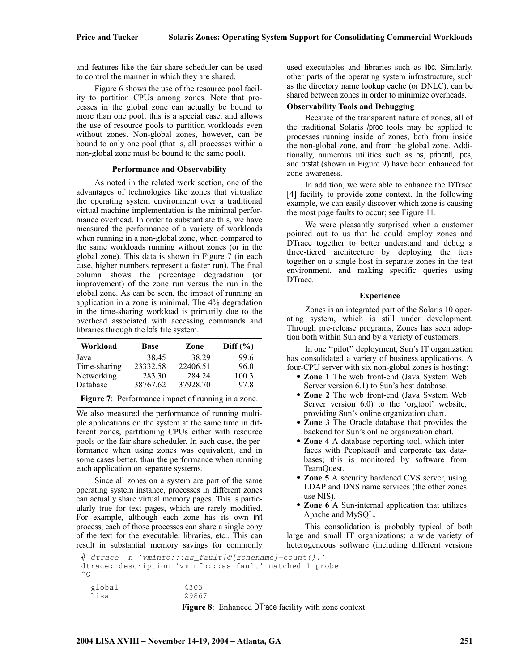and features like the fair-share scheduler can be used to control the manner in which they are shared.

Figure 6 shows the use of the resource pool facility to partition CPUs among zones. Note that processes in the global zone can actually be bound to more than one pool; this is a special case, and allows the use of resource pools to partition workloads even without zones. Non-global zones, however, can be bound to only one pool (that is, all processes within a non-global zone must be bound to the same pool).

#### **Performance and Observability**

As noted in the related work section, one of the advantages of technologies like zones that virtualize the operating system environment over a traditional virtual machine implementation is the minimal performance overhead. In order to substantiate this, we have measured the performance of a variety of workloads when running in a non-global zone, when compared to the same workloads running without zones (or in the global zone). This data is shown in Figure 7 (in each case, higher numbers represent a faster run). The final column shows the percentage degradation (or improvement) of the zone run versus the run in the global zone. As can be seen, the impact of running an application in a zone is minimal. The 4% degradation in the time-sharing workload is primarily due to the overhead associated with accessing commands and libraries through the lofs file system.

| Workload     | <b>Base</b> | Zone     | Diff $(\% )$ |  |
|--------------|-------------|----------|--------------|--|
| Java         | 38.45       | 38.29    | 99.6         |  |
| Time-sharing | 23332.58    | 22406.51 | 96.0         |  |
| Networking   | 283.30      | 284.24   | 100.3        |  |
| Database     | 38767.62    | 37928.70 | 97.8         |  |

**Figure 7**: Performance impact of running in a zone.

We also measured the performance of running multiple applications on the system at the same time in different zones, partitioning CPUs either with resource pools or the fair share scheduler. In each case, the performance when using zones was equivalent, and in some cases better, than the performance when running each application on separate systems.

Since all zones on a system are part of the same operating system instance, processes in different zones can actually share virtual memory pages. This is particularly true for text pages, which are rarely modified. For example, although each zone has its own init process, each of those processes can share a single copy of the text for the executable, libraries, etc.. This can result in substantial memory savings for commonly

used executables and libraries such as libc. Similarly, other parts of the operating system infrastructure, such as the directory name lookup cache (or DNLC), can be shared between zones in order to minimize overheads.

# **Observability Tools and Debugging**

Because of the transparent nature of zones, all of the traditional Solaris /proc tools may be applied to processes running inside of zones, both from inside the non-global zone, and from the global zone. Additionally, numerous utilities such as ps, priocntl, ipcs, and prstat (shown in Figure 9) have been enhanced for zone-awareness.

In addition, we were able to enhance the DTrace [4] facility to provide zone context. In the following example, we can easily discover which zone is causing the most page faults to occur; see Figure 11.

We were pleasantly surprised when a customer pointed out to us that he could employ zones and DTrace together to better understand and debug a three-tiered architecture by deploying the tiers together on a single host in separate zones in the test environment, and making specific queries using DTrace.

#### **Experience**

Zones is an integrated part of the Solaris 10 operating system, which is still under development. Through pre-release programs, Zones has seen adoption both within Sun and by a variety of customers.

In one "pilot" deployment, Sun's IT organization has consolidated a variety of business applications. A four-CPU server with six non-global zones is hosting:

- **Zone 1** The web front-end (Java System Web Server version 6.1) to Sun's host database.
- **Zone 2** The web front-end (Java System Web Server version 6.0) to the 'orgtool' website, providing Sun's online organization chart.
- **Zone 3** The Oracle database that provides the backend for Sun's online organization chart.
- **Zone 4** A database reporting tool, which interfaces with Peoplesoft and corporate tax databases; this is monitored by software from TeamQuest.
- **Zone 5** A security hardened CVS server, using LDAP and DNS name services (the other zones use NIS).
- **Zone 6** A Sun-internal application that utilizes Apache and MySQL.

This consolidation is probably typical of both large and small IT organizations; a wide variety of heterogeneous software (including different versions

```
# dtrace -n 'vminfo:::as_fault{@[zonename]=count()}'
dtrace: description 'vminfo:::as_fault' matched 1 probe
\char` C
  global 4303<br>1isa 2986
                       29867
```
**Figure 8**: Enhanced DTrace facility with zone context.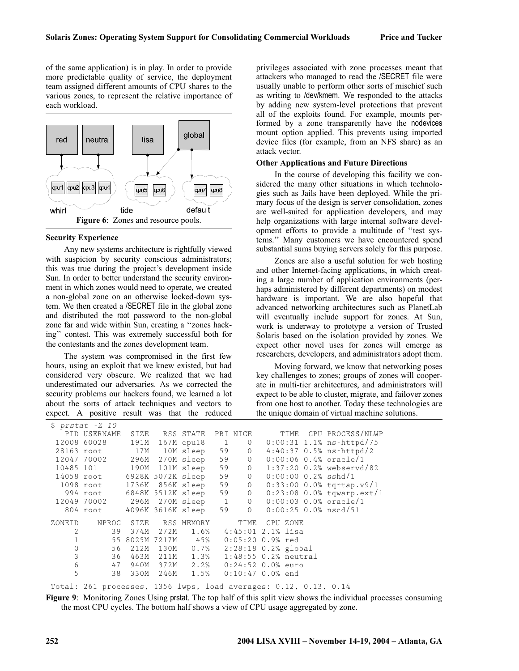of the same application) is in play. In order to provide more predictable quality of service, the deployment team assigned different amounts of CPU shares to the various zones, to represent the relative importance of each workload.



# **Security Experience**

Any new systems architecture is rightfully viewed with suspicion by security conscious administrators; this was true during the project's development inside Sun. In order to better understand the security environment in which zones would need to operate, we created a non-global zone on an otherwise locked-down system. We then created a /SECRET file in the global zone and distributed the root password to the non-global zone far and wide within Sun, creating a ''zones hacking'' contest. This was extremely successful both for the contestants and the zones development team.

The system was compromised in the first few hours, using an exploit that we knew existed, but had considered very obscure. We realized that we had underestimated our adversaries. As we corrected the security problems our hackers found, we learned a lot about the sorts of attack techniques and vectors to expect. A positive result was that the reduced privileges associated with zone processes meant that attackers who managed to read the /SECRET file were usually unable to perform other sorts of mischief such as writing to /dev/kmem. We responded to the attacks by adding new system-level protections that prevent all of the exploits found. For example, mounts performed by a zone transparently have the nodevices mount option applied. This prevents using imported device files (for example, from an NFS share) as an attack vector.

# **Other Applications and Future Directions**

In the course of developing this facility we considered the many other situations in which technologies such as Jails have been deployed. While the primary focus of the design is server consolidation, zones are well-suited for application developers, and may help organizations with large internal software development efforts to provide a multitude of ''test systems.'' Many customers we have encountered spend substantial sums buying servers solely for this purpose.

Zones are also a useful solution for web hosting and other Internet-facing applications, in which creating a large number of application environments (perhaps administered by different departments) on modest hardware is important. We are also hopeful that advanced networking architectures such as PlanetLab will eventually include support for zones. At Sun, work is underway to prototype a version of Trusted Solaris based on the isolation provided by zones. We expect other novel uses for zones will emerge as researchers, developers, and administrators adopt them.

Moving forward, we know that networking poses key challenges to zones; groups of zones will cooperate in multi-tier architectures, and administrators will expect to be able to cluster, migrate, and failover zones from one host to another. Today these technologies are the unique domain of virtual machine solutions.

|             | \$ prstat -Z 10 |                |                |                   |                |               |                        |                             |
|-------------|-----------------|----------------|----------------|-------------------|----------------|---------------|------------------------|-----------------------------|
|             | PID USERNAME    |                | SIZE RSS STATE |                   |                | PRI NICE      |                        | TIME CPU PROCESS/NLWP       |
| 12008 60028 |                 | 191M           |                | 167M cpu18        | $\overline{1}$ | 0             |                        | $0:00:31$ 1.1% ns-httpd/75  |
| 28163 root  |                 |                |                | 17M 10M sleep     |                | 59<br>$\circ$ |                        | $4:40:37$ 0.5% ns-httpd/2   |
|             | 12047 70002     | 296M           |                | 270M sleep        | 59             | $\mathbf{0}$  |                        | $0:00:06$ 0.4% oracle/1     |
| 10485 101   |                 |                |                | 190M 101M sleep   | 59             | $\mathbf 0$   |                        | $1:37:20$ 0.2% webservd/82  |
|             | 14058 root      |                |                | 6928K 5072K sleep | 59             | $\circ$       | $0:00:00$ 0.2% sshd/1  |                             |
|             | 1098 root       |                |                | 1736K 856K sleep  | 59             | $\circ$       |                        | $0:33:00$ 0.0% tgrtap.v9/1  |
|             | 994 root        |                |                | 6848K 5512K sleep | 59             | $\mathbf 0$   |                        | $0:23:08$ 0.0% tqwarp.ext/1 |
| 12049 70002 |                 |                |                | 296M 270M sleep   | 1              | $\circ$       |                        | $0:00:03$ 0.0% oracle/1     |
|             | 804 root        |                |                | 4096K 3616K sleep | 59             | $\circ$       | $0:00:25$ 0.0% nscd/51 |                             |
| ZONEID      | NPROC           |                |                | SIZE RSS MEMORY   |                | TIME          | CPU ZONE               |                             |
| 2.          | 39              | 374M           | 272M           | 1.6%              |                |               | 4:45:01 2.1% lisa      |                             |
|             |                 | 55 8025M 7217M |                | 45%               |                |               | $0:05:20$ 0.9% red     |                             |
| 0           | 56              | 212M           | 130M           | $0.7\%$           |                |               | 2:28:18 0.2% global    |                             |
| 3           | 36              | 463M           |                | 211M 1.3%         |                |               | $1:48:55$ 0.2% neutral |                             |
| 6           | 47              | 940M           | 372M           | 2.2%              |                |               | 0:24:52 0.0% euro      |                             |
| 5           | 38              | 330M           | 246M           | 1.5%              |                |               | $0:10:47$ 0.0% end     |                             |

Total: 261 processes, 1356 lwps, load averages: 0.12, 0.13, 0.14

**Figure 9**: Monitoring Zones Using prstat. The top half of this split view shows the individual processes consuming the most CPU cycles. The bottom half shows a view of CPU usage aggregated by zone.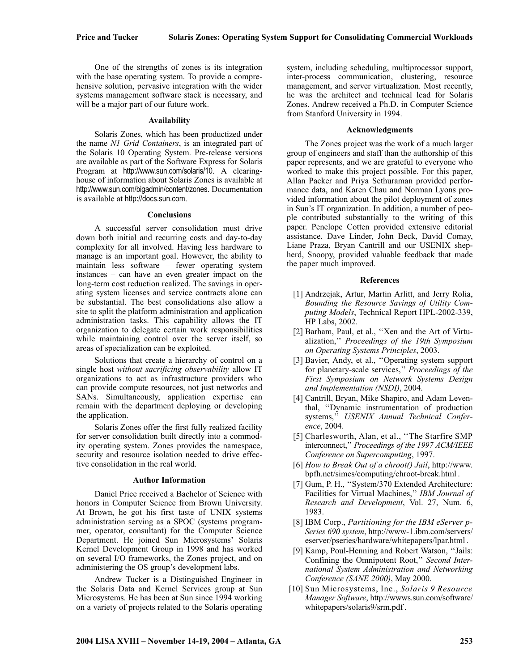One of the strengths of zones is its integration with the base operating system. To provide a comprehensive solution, pervasive integration with the wider systems management software stack is necessary, and will be a major part of our future work.

#### **Availability**

Solaris Zones, which has been productized under the name *N1 Grid Containers*, is an integrated part of the Solaris 10 Operating System. Pre-release versions are available as part of the Software Express for Solaris Program at http://www.sun.com/solaris/10. A clearinghouse of information about Solaris Zones is available at http://www.sun.com/bigadmin/content/zones. Documentation is available at http://docs.sun.com.

#### **Conclusions**

A successful server consolidation must drive down both initial and recurring costs and day-to-day complexity for all involved. Having less hardware to manage is an important goal. However, the ability to maintain less software – fewer operating system instances – can have an even greater impact on the long-term cost reduction realized. The savings in operating system licenses and service contracts alone can be substantial. The best consolidations also allow a site to split the platform administration and application administration tasks. This capability allows the IT organization to delegate certain work responsibilities while maintaining control over the server itself, so areas of specialization can be exploited.

Solutions that create a hierarchy of control on a single host *without sacrificing observability* allow IT organizations to act as infrastructure providers who can provide compute resources, not just networks and SANs. Simultaneously, application expertise can remain with the department deploying or developing the application.

Solaris Zones offer the first fully realized facility for server consolidation built directly into a commodity operating system. Zones provides the namespace, security and resource isolation needed to drive effective consolidation in the real world.

# **Author Information**

Daniel Price received a Bachelor of Science with honors in Computer Science from Brown University. At Brown, he got his first taste of UNIX systems administration serving as a SPOC (systems programmer, operator, consultant) for the Computer Science Department. He joined Sun Microsystems' Solaris Kernel Development Group in 1998 and has worked on several I/O frameworks, the Zones project, and on administering the OS group's development labs.

Andrew Tucker is a Distinguished Engineer in the Solaris Data and Kernel Services group at Sun Microsystems. He has been at Sun since 1994 working on a variety of projects related to the Solaris operating system, including scheduling, multiprocessor support, inter-process communication, clustering, resource management, and server virtualization. Most recently, he was the architect and technical lead for Solaris Zones. Andrew received a Ph.D. in Computer Science from Stanford University in 1994.

#### **Acknowledgments**

The Zones project was the work of a much larger group of engineers and staff than the authorship of this paper represents, and we are grateful to everyone who worked to make this project possible. For this paper, Allan Packer and Priya Sethuraman provided performance data, and Karen Chau and Norman Lyons provided information about the pilot deployment of zones in Sun's IT organization. In addition, a number of people contributed substantially to the writing of this paper. Penelope Cotten provided extensive editorial assistance. Dave Linder, John Beck, David Comay, Liane Praza, Bryan Cantrill and our USENIX shepherd, Snoopy, provided valuable feedback that made the paper much improved.

#### **References**

- [1] Andrzejak, Artur, Martin Arlitt, and Jerry Rolia, *Bounding the Resource Savings of Utility Computing Models*, Technical Report HPL-2002-339, HP Labs, 2002.
- [2] Barham, Paul, et al., "Xen and the Art of Virtualization,'' *Proceedings of the 19th Symposium on Operating Systems Principles*, 2003.
- [3] Bavier, Andy, et al., ''Operating system support for planetary-scale services,'' *Proceedings of the First Symposium on Network Systems Design and Implementation (NSDI)*, 2004.
- [4] Cantrill, Bryan, Mike Shapiro, and Adam Leventhal, ''Dynamic instrumentation of production systems,'' *USENIX Annual Technical Conference*, 2004.
- [5] Charlesworth, Alan, et al., ''The Starfire SMP interconnect,'' *Proceedings of the 1997 ACM/IEEE Conference on Supercomputing*, 1997.
- [6] *How to Break Out of a chroot() Jail*, http://www. bpfh.net/simes/computing/chroot-break.html .
- [7] Gum, P. H., ''System/370 Extended Architecture: Facilities for Virtual Machines,'' *IBM Journal of Research and Development*, Vol. 27, Num. 6, 1983.
- [8] IBM Corp., *Partitioning for the IBM eServer p-Series 690 system*, http://www-1.ibm.com/servers/ eserver/pseries/hardware/whitepapers/lpar.html .
- [9] Kamp, Poul-Henning and Robert Watson, ''Jails: Confining the Omnipotent Root,'' *Second International System Administration and Networking Conference (SANE 2000)*, May 2000.
- [10] Sun Microsystems, Inc., *Solaris 9 Resource Manager Software*, http://wwws.sun.com/software/ whitepapers/solaris9/srm.pdf .